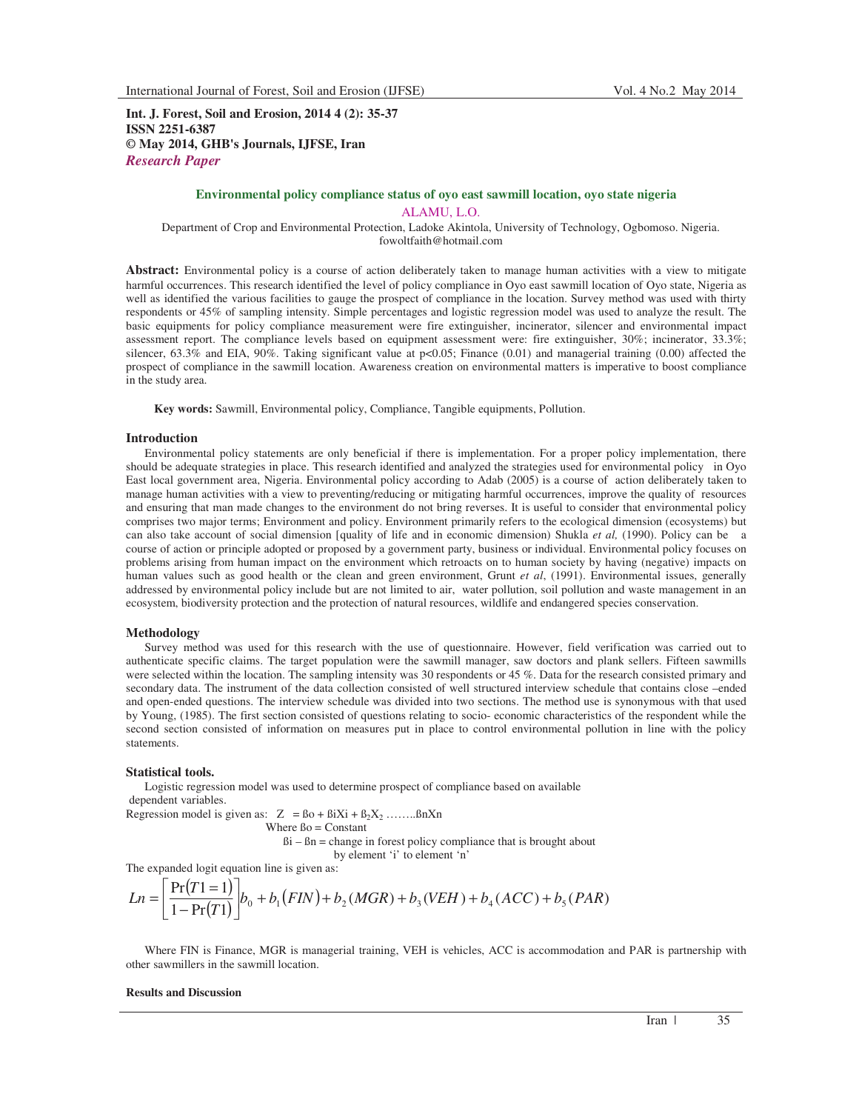**Int. J. Forest, Soil and Erosion, 2014 4 (2): 35-37 ISSN 2251-6387 © May 2014, GHB's Journals, IJFSE, Iran** *Research Paper*

# **Environmental policy compliance status of oyo east sawmill location, oyo state nigeria**  ALAMU, L.O.

Department of Crop and Environmental Protection, Ladoke Akintola, University of Technology, Ogbomoso. Nigeria. fowoltfaith@hotmail.com

Abstract: Environmental policy is a course of action deliberately taken to manage human activities with a view to mitigate harmful occurrences. This research identified the level of policy compliance in Oyo east sawmill location of Oyo state, Nigeria as well as identified the various facilities to gauge the prospect of compliance in the location. Survey method was used with thirty respondents or 45% of sampling intensity. Simple percentages and logistic regression model was used to analyze the result. The basic equipments for policy compliance measurement were fire extinguisher, incinerator, silencer and environmental impact assessment report. The compliance levels based on equipment assessment were: fire extinguisher, 30%; incinerator, 33.3%; silencer,  $63.3\%$  and EIA,  $90\%$ . Taking significant value at  $p<0.05$ ; Finance (0.01) and managerial training (0.00) affected the prospect of compliance in the sawmill location. Awareness creation on environmental matters is imperative to boost compliance in the study area.

**Key words:** Sawmill, Environmental policy, Compliance, Tangible equipments, Pollution.

#### **Introduction**

Environmental policy statements are only beneficial if there is implementation. For a proper policy implementation, there should be adequate strategies in place. This research identified and analyzed the strategies used for environmental policy in Oyo East local government area, Nigeria. Environmental policy according to Adab (2005) is a course of action deliberately taken to manage human activities with a view to preventing/reducing or mitigating harmful occurrences, improve the quality of resources and ensuring that man made changes to the environment do not bring reverses. It is useful to consider that environmental policy comprises two major terms; Environment and policy. Environment primarily refers to the ecological dimension (ecosystems) but can also take account of social dimension [quality of life and in economic dimension) Shukla *et al,* (1990). Policy can be a course of action or principle adopted or proposed by a government party, business or individual. Environmental policy focuses on problems arising from human impact on the environment which retroacts on to human society by having (negative) impacts on human values such as good health or the clean and green environment, Grunt *et al*, (1991). Environmental issues, generally addressed by environmental policy include but are not limited to air, water pollution, soil pollution and waste management in an ecosystem, biodiversity protection and the protection of natural resources, wildlife and endangered species conservation.

### **Methodology**

Survey method was used for this research with the use of questionnaire. However, field verification was carried out to authenticate specific claims. The target population were the sawmill manager, saw doctors and plank sellers. Fifteen sawmills were selected within the location. The sampling intensity was 30 respondents or 45 %. Data for the research consisted primary and secondary data. The instrument of the data collection consisted of well structured interview schedule that contains close –ended and open-ended questions. The interview schedule was divided into two sections. The method use is synonymous with that used by Young, (1985). The first section consisted of questions relating to socio- economic characteristics of the respondent while the second section consisted of information on measures put in place to control environmental pollution in line with the policy statements.

### **Statistical tools.**

Logistic regression model was used to determine prospect of compliance based on available dependent variables.

Regression model is given as:  $Z = Bo + BiXi + B_2X_2$  ......... $BnXn$ Where  $Bo = Constant$ 

> $Bi - Bn$  = change in forest policy compliance that is brought about by element 'i' to element 'n'

The expanded logit equation line is given as:

$$
Ln = \left[\frac{\Pr(T1=1)}{1-\Pr(T1)}\right]b_0 + b_1(FIN) + b_2(MGR) + b_3(VEH) + b_4(ACC) + b_5(PAR)
$$

Where FIN is Finance, MGR is managerial training, VEH is vehicles, ACC is accommodation and PAR is partnership with other sawmillers in the sawmill location.

## **Results and Discussion**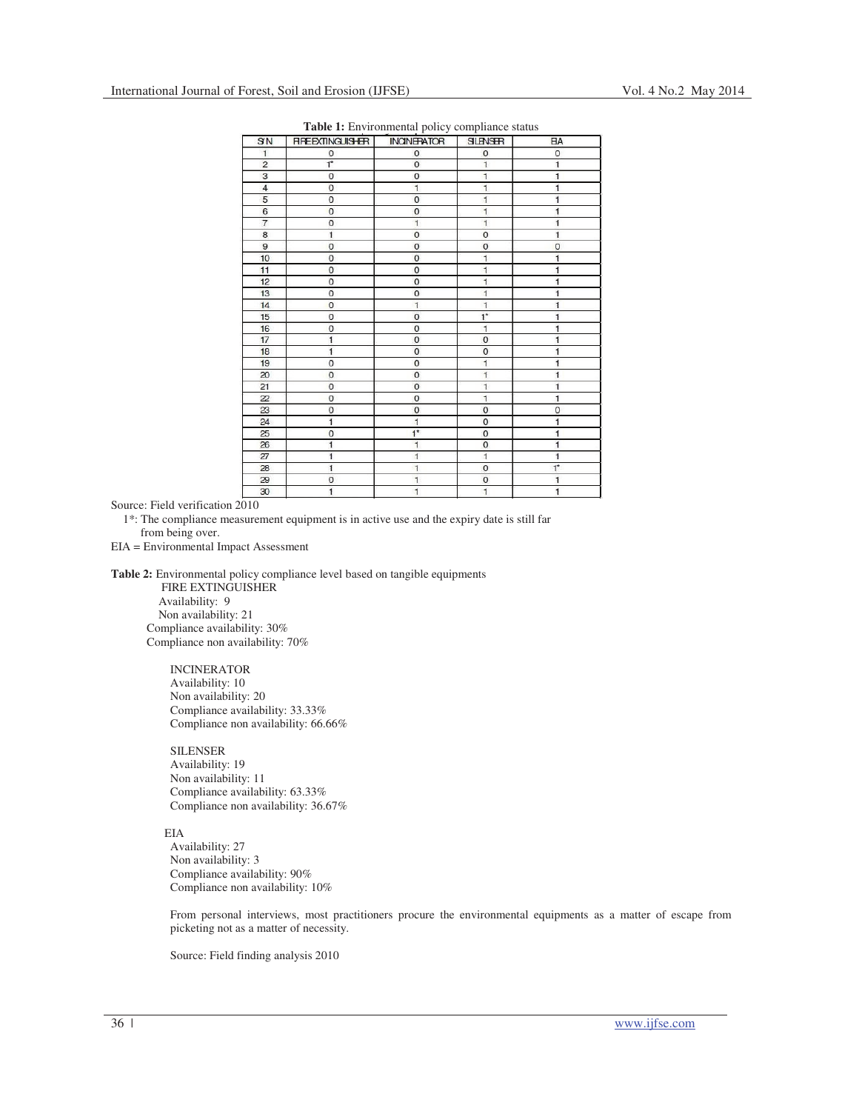| SN             | <b>RPEEXTINGUISHER</b> | <b>INCINERATOR</b>                                 | <b>SILENSER</b>                                                    | <b>EA</b>                                                          |
|----------------|------------------------|----------------------------------------------------|--------------------------------------------------------------------|--------------------------------------------------------------------|
| $\mathbf{1}$   | 0                      | $\mathbf 0$                                        | $\mathbf{0}$                                                       | $\circ$                                                            |
| $\overline{c}$ | $1^*$                  | $\overline{0}$                                     | $\overline{1}$                                                     | $\mathbf{1}$                                                       |
| 3              | $\overline{0}$         | $\overline{0}$<br>$\overline{1}$<br>$\overline{0}$ | $\overline{1}$<br>$\overline{1}$<br>$\overline{1}$<br>$\mathbf{1}$ | $\overline{1}$<br>$\overline{1}$<br>$\overline{1}$<br>$\mathbf{1}$ |
| $\overline{4}$ | $\mathbf 0$            |                                                    |                                                                    |                                                                    |
| $\overline{5}$ | $\overline{0}$         |                                                    |                                                                    |                                                                    |
| 6              | $\overline{0}$         | $\mathbf{0}$                                       |                                                                    |                                                                    |
| $\overline{7}$ | $\circ$                | $\overline{1}$                                     | $\overline{1}$                                                     | $\overline{1}$                                                     |
| 8              | $\overline{1}$         | $\mathbf 0$                                        | $\mathbf 0$                                                        | $\overline{1}$<br>$\mathbf{O}$                                     |
| 9              | $\circ$                | $\mathbf{0}$                                       | $\circ$                                                            |                                                                    |
| 10             | $\overline{O}$         | $\overline{0}$                                     | $\mathbf{1}$                                                       | $\mathbf{1}$                                                       |
| 11             | 0                      | 0                                                  | $\overline{1}$                                                     | $\overline{1}$                                                     |
| 12             | $\circ$                | $\mathbf 0$                                        | $\mathbf{1}$                                                       | $\overline{1}$                                                     |
| 13             | $\mathbf 0$            | $\overline{0}$                                     | $\mathbf{1}$                                                       | $\overline{1}$                                                     |
| 14             | $\mathbf 0$            | $\mathbf{1}$                                       | $\overline{1}$                                                     | $\overline{1}$                                                     |
| 15             | $\mathbf 0$            | $\mathbf 0$                                        | $1^*$                                                              | $\mathbf{1}$                                                       |
| 16             | $\circ$                | $\overline{0}$                                     | 1                                                                  | $\mathbf{1}$                                                       |
| 17             | $\overline{1}$         | $\overline{0}$                                     | $\mathbf{O}$                                                       | $\overline{1}$                                                     |
| 18             | $\overline{1}$         | $\overline{0}$                                     | $\overline{O}$                                                     | $\overline{1}$                                                     |
| 19             | $\circ$                | $\mathbf 0$                                        | $\overline{1}$<br>$\overline{1}$                                   | $\mathbf{1}$<br>$\overline{1}$                                     |
| 20             | $\circ$                | $\mathbf 0$                                        |                                                                    |                                                                    |
| 21             | $\mathbf{O}$           | $\overline{0}$                                     | $\mathbf{1}$                                                       | $\mathbf{1}$                                                       |
| 22             | $\circ$                | $\mathbf 0$                                        | $\mathbf{1}$<br>$\circ$                                            | $\overline{1}$<br>$\mathbf 0$                                      |
| 23             | $\circ$                | $\mathbf 0$                                        |                                                                    |                                                                    |
| 24             | $\overline{1}$         | $\mathbf{1}$                                       | $\overline{0}$                                                     | $\mathbf{1}$                                                       |
| 25             | $\mathbf 0$            | $1*$                                               | $\mathbf{0}$                                                       | $\mathbf{1}$                                                       |
| 26             | $\overline{1}$         | $\overline{1}$                                     | $\overline{0}$                                                     | $\overline{1}$                                                     |
| 27             | $\mathbf{1}$           | $\mathbf{1}$                                       | $\mathbf{1}$                                                       | $\overline{1}$                                                     |
| 28             | $\overline{1}$         | $\overline{1}$                                     | $\overline{0}$                                                     | $1^*$                                                              |
| 29             | $\circ$                | $\mathbf{1}$                                       | $\mathbf 0$                                                        | $\mathbf{1}$                                                       |
| $30^{\circ}$   | $\overline{1}$         | $\overline{1}$                                     | $\overline{1}$                                                     | $\overline{1}$                                                     |

Source: Field verification 2010

 1\*: The compliance measurement equipment is in active use and the expiry date is still far from being over.

EIA = Environmental Impact Assessment

**Table 2:** Environmental policy compliance level based on tangible equipments

 FIRE EXTINGUISHER Availability: 9 Non availability: 21 Compliance availability: 30% Compliance non availability: 70%

> INCINERATOR Availability: 10 Non availability: 20 Compliance availability: 33.33% Compliance non availability: 66.66%

> SILENSER Availability: 19 Non availability: 11 Compliance availability: 63.33% Compliance non availability: 36.67%

EIA

Availability: 27 Non availability: 3 Compliance availability: 90% Compliance non availability: 10%

From personal interviews, most practitioners procure the environmental equipments as a matter of escape from picketing not as a matter of necessity.

Source: Field finding analysis 2010